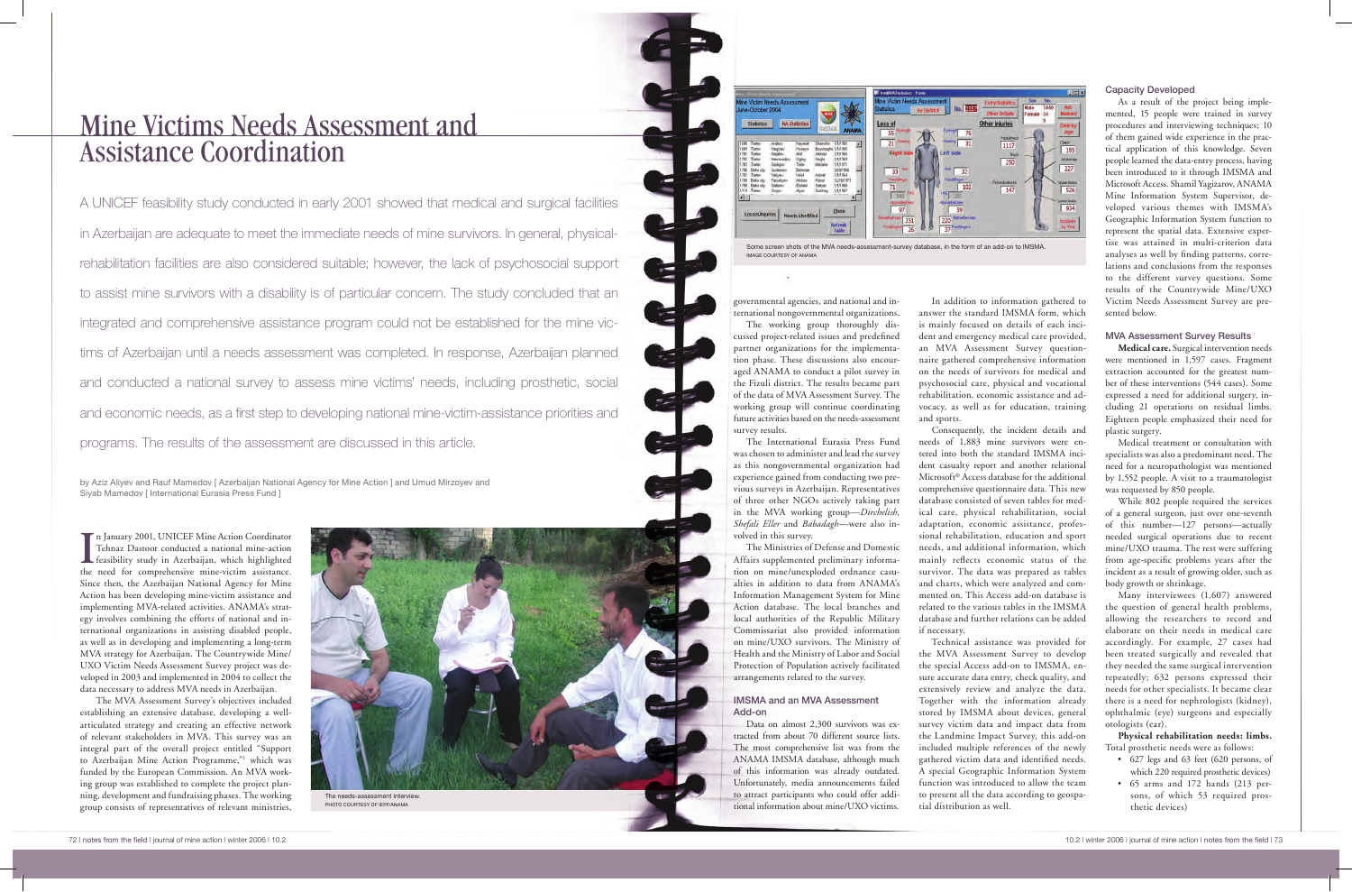In January 2001, UNICEF Mine Action Coordinator<br>Tehnaz Dastoor conducted a national mine-action<br>feasibility study in Azerbaijan, which highlighted<br>the need for comprehensive mine-victim assistance n January 2001, UNICEF Mine Action Coordinator Tehnaz Dastoor conducted a national mine-action the need for comprehensive mine-victim assistance. Since then, the Azerbaijan National Agency for Mine Action has been developing mine-victim assistance and implementing MVA-related activities. ANAMA's strategy involves combining the efforts of national and international organizations in assisting disabled people, as well as in developing and implementing a long-term MVA strategy for Azerbaijan. The Countrywide Mine/ UXO Victim Needs Assessment Survey project was developed in 2003 and implemented in 2004 to collect the data necessary to address MVA needs in Azerbaijan.

The MVA Assessment Survey's objectives included establishing an extensive database, developing a wellarticulated strategy and creating an effective network of relevant stakeholders in MVA. This survey was an integral part of the overall project entitled "Support to Azerbaijan Mine Action Programme,"1 which was funded by the European Commission. An MVA working group was established to complete the project planning, development and fundraising phases. The working group consists of representatives of relevant ministries,

# Mine Victims Needs Assessment and Assistance Coordination

A UNICEF feasibility study conducted in early 2001 showed that medical and surgical facilities in Azerbaijan are adequate to meet the immediate needs of mine survivors. In general, physicalrehabilitation facilities are also considered suitable; however, the lack of psychosocial support to assist mine survivors with a disability is of particular concern. The study concluded that an integrated and comprehensive assistance program could not be established for the mine victims of Azerbaijan until a needs assessment was completed. In response, Azerbaijan planned and conducted a national survey to assess mine victims' needs, including prosthetic, social and economic needs, as a first step to developing national mine-victim-assistance priorities and programs. The results of the assessment are discussed in this article.

by Aziz Aliyev and Rauf Mamedov [ Azerbaijan National Agency for Mine Action ] and Umud Mirzoyev and Siyab Mamedov [ International Eurasia Press Fund ]

governmental agencies, and national and international nongovernmental organizations.

這

The working group thoroughly discussed project-related issues and predefined partner organizations for the implementation phase. These discussions also encouraged ANAMA to conduct a pilot survey in the Fizuli district. The results became part of the data of MVA Assessment Survey. The working group will continue coordinating future activities based on the needs-assessment survey results.

The International Eurasia Press Fund was chosen to administer and lead the survey as this nongovernmental organization had experience gained from conducting two previous surveys in Azerbaijan. Representatives of three other NGOs actively taking part in the MVA working group—*Dirchelish, Shefali Eller* and *Babadagh*—were also involved in this survey.

The Ministries of Defense and Domestic Affairs supplemented preliminary information on mine/unexploded ordnance casualties in addition to data from ANAMA's Information Management System for Mine Action database. The local branches and local authorities of the Republic Military Commissariat also provided information on mine/UXO survivors. The Ministry of Health and the Ministry of Labor and Social Protection of Population actively facilitated arrangements related to the survey.

## IMSMA and an MVA Assessment Add-on

Data on almost 2,300 survivors was extracted from about 70 different source lists. The most comprehensive list was from the ANAMA IMSMA database, although much of this information was already outdated. Unfortunately, media announcements failed to attract participants who could offer additional information about mine/UXO victims.



PHOTO COURTESY OF IEPF/ANAMA

In addition to information gathered to answer the standard IMSMA form, which is mainly focused on details of each incident and emergency medical care provided, an MVA Assessment Survey questionnaire gathered comprehensive information on the needs of survivors for medical and psychosocial care, physical and vocational rehabilitation, economic assistance and advocacy, as well as for education, training and sports. Consequently, the incident details and

needs of 1,883 mine survivors were entered into both the standard IMSMA incident casualty report and another relational Microsoft® Access database for the additional comprehensive questionnaire data. This new database consisted of seven tables for medical care, physical rehabilitation, social adaptation, economic assistance, professional rehabilitation, education and sport needs, and additional information, which mainly reflects economic status of the survivor. The data was prepared as tables and charts, which were analyzed and commented on. This Access add-on database is related to the various tables in the IMSMA database and further relations can be added

if necessary.

Technical assistance was provided for the MVA Assessment Survey to develop the special Access add-on to IMSMA, ensure accurate data entry, check quality, and extensively review and analyze the data. Together with the information already stored by IMSMA about devices, general survey victim data and impact data from the Landmine Impact Survey, this add-on included multiple references of the newly gathered victim data and identified needs. A special Geographic Information System function was introduced to allow the team to present all the data according to geospatial distribution as well.



Some screen shots of the MVA needs-assessment-survey database, in the form of an add-on to IMSMA. IMAGE COURTESY OF ANAMA

#### Capacity Developed

As a result of the project being implemented, 15 people were trained in survey procedures and interviewing techniques; 10 of them gained wide experience in the practical application of this knowledge. Seven people learned the data-entry process, having been introduced to it through IMSMA and Microsoft Access. Shamil Yagizarov, ANAMA Mine Information System Supervisor, developed various themes with IMSMA's Geographic Information System function to represent the spatial data. Extensive expertise was attained in multi-criterion data analyses as well by finding patterns, correlations and conclusions from the responses to the different survey questions. Some results of the Countrywide Mine/UXO Victim Needs Assessment Survey are presented below.

## MVA Assessment Survey Results

**Medical care.** Surgical intervention needs were mentioned in 1,597 cases. Fragment extraction accounted for the greatest number of these interventions (544 cases). Some expressed a need for additional surgery, including 21 operations on residual limbs. Eighteen people emphasized their need for plastic surgery.

Medical treatment or consultation with specialists was also a predominant need. The need for a neuropathologist was mentioned by 1,552 people. A visit to a traumatologist was requested by 850 people.

While 802 people required the services of a general surgeon, just over one-seventh of this number—127 persons—actually needed surgical operations due to recent mine/UXO trauma. The rest were suffering from age-specific problems years after the incident as a result of growing older, such as body growth or shrinkage.

Many interviewees (1,607) answered the question of general health problems, allowing the researchers to record and elaborate on their needs in medical care accordingly. For example, 27 cases had been treated surgically and revealed that they needed the same surgical intervention repeatedly; 632 persons expressed their needs for other specialists. It became clear there is a need for nephrologists (kidney), ophthalmic (eye) surgeons and especially otologists (ear).

**Physical rehabilitation needs: limbs.**  Total prosthetic needs were as follows:

- • 627 legs and 63 feet (620 persons, of which 220 required prosthetic devices)
- • 65 arms and 172 hands (213 persons, of which 53 required prosthetic devices)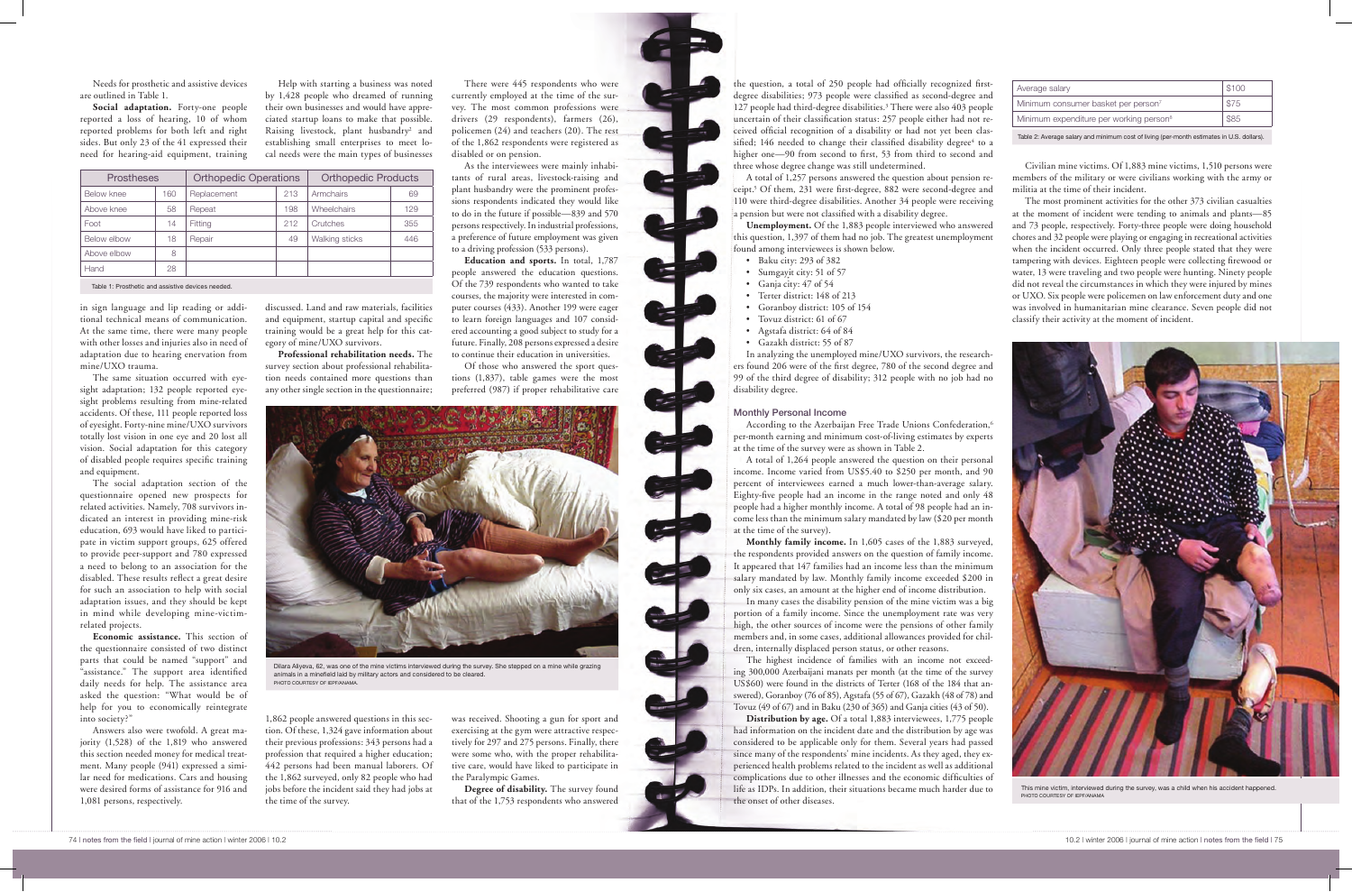Needs for prosthetic and assistive devices are outlined in Table 1.

**Social adaptation.** Forty-one people reported a loss of hearing, 10 of whom reported problems for both left and right sides. But only 23 of the 41 expressed their need for hearing-aid equipment, training

in sign language and lip reading or additional technical means of communication. At the same time, there were many people with other losses and injuries also in need of adaptation due to hearing enervation from mine/UXO trauma.

The same situation occurred with eyesight adaptation; 132 people reported eyesight problems resulting from mine-related accidents. Of these, 111 people reported loss of eyesight. Forty-nine mine/UXO survivors totally lost vision in one eye and 20 lost all vision. Social adaptation for this category of disabled people requires specific training and equipment.

The social adaptation section of the questionnaire opened new prospects for related activities. Namely, 708 survivors indicated an interest in providing mine-risk education, 693 would have liked to participate in victim support groups, 625 offered to provide peer-support and 780 expressed a need to belong to an association for the disabled. These results reflect a great desire for such an association to help with social adaptation issues, and they should be kept in mind while developing mine-victimrelated projects.

**Economic assistance.** This section of the questionnaire consisted of two distinct parts that could be named "support" and "assistance." The support area identified daily needs for help. The assistance area asked the question: "What would be of help for you to economically reintegrate into society?"

Answers also were twofold. A great majority (1,528) of the 1,819 who answered this section needed money for medical treatment. Many people (941) expressed a similar need for medications. Cars and housing were desired forms of assistance for 916 and 1,081 persons, respectively.

Help with starting a business was noted by 1,428 people who dreamed of running their own businesses and would have appreciated startup loans to make that possible. Raising livestock, plant husbandry<sup>2</sup> and establishing small enterprises to meet local needs were the main types of businesses



Dilara Aliyeva, 62, was one of the mine victims interviewed during the survey. She stepped on a mine while grazing animals in a minefield laid by military actors and considered to be cleared. PHOTO COURTESY OF IEPF/AN

discussed. Land and raw materials, facilities and equipment, startup capital and specific training would be a great help for this category of mine/UXO survivors.

**Professional rehabilitation needs.** The survey section about professional rehabilitation needs contained more questions than any other single section in the questionnaire;

1,862 people answered questions in this section. Of these, 1,324 gave information about their previous professions: 343 persons had a profession that required a higher education; 442 persons had been manual laborers. Of the 1,862 surveyed, only 82 people who had jobs before the incident said they had jobs at the time of the survey.

According to the Azerbaijan Free Trade Unions Confederation,<sup>6</sup> per-month earning and minimum cost-of-living estimates by experts at the time of the survey were as shown in Table 2.

There were 445 respondents who were currently employed at the time of the survey. The most common professions were drivers (29 respondents), farmers (26), policemen (24) and teachers (20). The rest of the 1,862 respondents were registered as disabled or on pension.

As the interviewees were mainly inhabitants of rural areas, livestock-raising and plant husbandry were the prominent professions respondents indicated they would like to do in the future if possible—839 and 570 persons respectively. In industrial professions, a preference of future employment was given to a driving profession (533 persons).

**Education and sports.** In total, 1,787 people answered the education questions. Of the 739 respondents who wanted to take courses, the majority were interested in computer courses (433). Another 199 were eager to learn foreign languages and 107 considered accounting a good subject to study for a future. Finally, 208 personsexpressed a desire to continue their education in universities.

Of those who answered the sport questions (1,837), table games were the most preferred (987) if proper rehabilitative care

was received. Shooting a gun for sport and exercising at the gym were attractive respectively for 297 and 275 persons. Finally, there were some who, with the proper rehabilitative care, would have liked to participate in the Paralympic Games.

**Degree of disability.** The survey found that of the 1,753 respondents who answered

the question, a total of 250 people had officially recognized firstdegree disabilities; 973 people were classified as second-degree and 127 people had third-degree disabilities.3 There were also 403 people uncertain of their classification status: 257 people either had not received official recognition of a disability or had not yet been classified; 146 needed to change their classified disability degree<sup>4</sup> to a higher one—90 from second to first, 53 from third to second and three whose degree change was still undetermined.

A total of 1,257 persons answered the question about pension receipt.5 Of them, 231 were first-degree, 882 were second-degree and 110 were third-degree disabilities. Another 34 people were receiving a pension but were not classified with a disability degree.

**Unemployment.** Of the 1,883 people interviewed who answered this question, 1,397 of them had no job. The greatest unemployment found among interviewees is shown below.

- • Baku city: 293 of 382 • Sumgayit city: 51 of 57
- Ganja city: 47 of 54
- • Terter district: 148 of 213
- Goranboy district: 105 of 154
- Tovuz district: 61 of 67
- • Agstafa district: 64 of 84
- • Gazakh district: 55 of 87

In analyzing the unemployed mine/UXO survivors, the researchers found 206 were of the first degree, 780 of the second degree and 99 of the third degree of disability; 312 people with no job had no disability degree.

## Monthly Personal Income

A total of 1,264 people answered the question on their personal income. Income varied from US\$5.40 to \$250 per month, and 90 percent of interviewees earned a much lower-than-average salary. Eighty-five people had an income in the range noted and only 48 people had a higher monthly income. A total of 98 people had an income less than the minimum salary mandated by law (\$20 per month at the time of the survey).

**Monthly family income.** In 1,605 cases of the 1,883 surveyed, the respondents provided answers on the question of family income. It appeared that 147 families had an income less than the minimum salary mandated by law. Monthly family income exceeded \$200 in only six cases, an amount at the higher end of income distribution. In many cases the disability pension of the mine victim was a big portion of a family income. Since the unemployment rate was very high, the other sources of income were the pensions of other family members and, in some cases, additional allowances provided for children, internally displaced person status, or other reasons.

The highest incidence of families with an income not exceeding 300,000 Azerbaijani manats per month (at the time of the survey US\$60) were found in the districts of Terter (168 of the 184 that answered), Goranboy (76 of 85), Agstafa (55 of 67), Gazakh (48 of 78) and Tovuz (49 of 67) and in Baku (230 of 365) and Ganja cities (43 of 50). **Distribution by age.** Of a total 1,883 interviewees, 1,775 people had information on the incident date and the distribution by age was considered to be applicable only for them. Several years had passed since many of the respondents' mine incidents. As they aged, they experienced health problems related to the incident as well as additional complications due to other illnesses and the economic difficulties of life as IDPs. In addition, their situations became much harder due to the onset of other diseases.

Civilian mine victims. Of 1,883 mine victims, 1,510 persons were members of the military or were civilians working with the army or militia at the time of their incident.

The most prominent activities for the other 373 civilian casualties at the moment of incident were tending to animals and plants—85 and 73 people, respectively. Forty-three people were doing household chores and 32 people were playing or engaging in recreational activities when the incident occurred. Only three people stated that they were tampering with devices. Eighteen people were collecting firewood or water, 13 were traveling and two people were hunting. Ninety people did not reveal the circumstances in which they were injured by mines or UXO. Six people were policemen on law enforcement duty and one was involved in humanitarian mine clearance. Seven people did not classify their activity at the moment of incident.

| Average salary                                      | \$100 |  |  |  |
|-----------------------------------------------------|-------|--|--|--|
| Minimum consumer basket per person <sup>7</sup>     | \$75  |  |  |  |
| Minimum expenditure per working person <sup>8</sup> | \$85  |  |  |  |
|                                                     |       |  |  |  |

| <b>Prostheses</b> |     | <b>Orthopedic Operations</b> |     | <b>Orthopedic Products</b> |     |
|-------------------|-----|------------------------------|-----|----------------------------|-----|
| Below knee        | 160 | Replacement                  | 213 | Armchairs                  | 69  |
| Above knee        | 58  | Repeat                       | 198 | <b>Wheelchairs</b>         | 129 |
| Foot              | 14  | Fitting                      | 212 | Crutches                   | 355 |
| Below elbow       | 18  | Repair                       | 49  | Walking sticks             | 446 |
| Above elbow       | 8   |                              |     |                            |     |
| Hand              | 28  |                              |     |                            |     |

Table 1: Prosthetic and assistive devices needed.

Table 2: Average salary and minimum cost of living (per-month estimates in U.S. dollars).



This mine victim, interviewed during the survey, was a child when his accident happened. PHOTO COURTESY OF IEPF/ANAMA